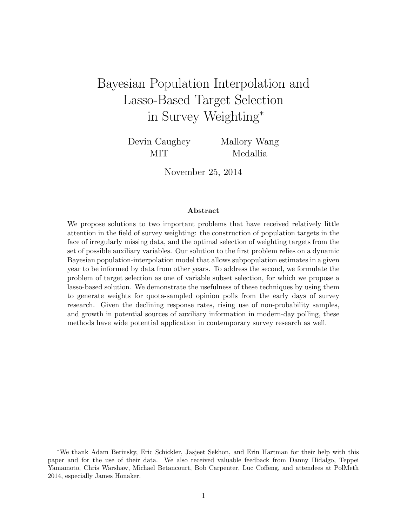# <span id="page-0-0"></span>Bayesian Population Interpolation and Lasso-Based Target Selection in Survey Weighting<sup>∗</sup>

Devin Caughey MIT

Mallory Wang Medallia

November 25, 2014

#### Abstract

We propose solutions to two important problems that have received relatively little attention in the field of survey weighting: the construction of population targets in the face of irregularly missing data, and the optimal selection of weighting targets from the set of possible auxiliary variables. Our solution to the first problem relies on a dynamic Bayesian population-interpolation model that allows subpopulation estimates in a given year to be informed by data from other years. To address the second, we formulate the problem of target selection as one of variable subset selection, for which we propose a lasso-based solution. We demonstrate the usefulness of these techniques by using them to generate weights for quota-sampled opinion polls from the early days of survey research. Given the declining response rates, rising use of non-probability samples, and growth in potential sources of auxiliary information in modern-day polling, these methods have wide potential application in contemporary survey research as well.

<sup>∗</sup>We thank Adam Berinsky, Eric Schickler, Jasjeet Sekhon, and Erin Hartman for their help with this paper and for the use of their data. We also received valuable feedback from Danny Hidalgo, Teppei Yamamoto, Chris Warshaw, Michael Betancourt, Bob Carpenter, Luc Coffeng, and attendees at PolMeth 2014, especially James Honaker.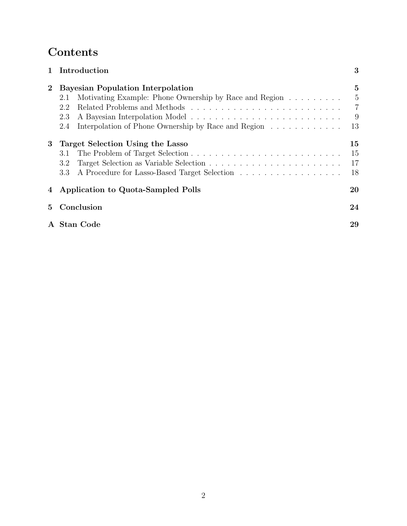## Contents

|                | 1 Introduction                                                | 3               |  |  |
|----------------|---------------------------------------------------------------|-----------------|--|--|
| $\overline{2}$ | <b>Bayesian Population Interpolation</b>                      | $5\overline{ }$ |  |  |
|                | Motivating Example: Phone Ownership by Race and Region<br>2.1 | 5               |  |  |
|                | 2.2                                                           | $\overline{7}$  |  |  |
|                | 2.3                                                           | 9               |  |  |
|                | Interpolation of Phone Ownership by Race and Region<br>2.4    | 13              |  |  |
| 3              | Target Selection Using the Lasso                              | 15              |  |  |
|                | 3.1                                                           | 15              |  |  |
|                | 3.2                                                           | 17              |  |  |
|                | 3.3                                                           | 18              |  |  |
|                | 4 Application to Quota-Sampled Polls                          | 20              |  |  |
| $5^{\circ}$    | Conclusion                                                    | 24              |  |  |
|                | A Stan Code<br>29                                             |                 |  |  |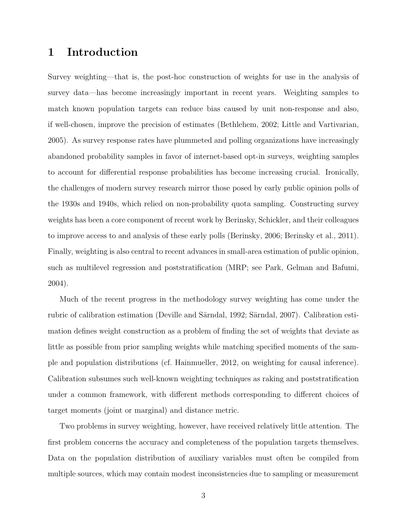## <span id="page-2-0"></span>1 Introduction

Survey weighting—that is, the post-hoc construction of weights for use in the analysis of survey data—has become increasingly important in recent years. Weighting samples to match known population targets can reduce bias caused by unit non-response and also, if well-chosen, improve the precision of estimates [\(Bethlehem,](#page-23-1) [2002;](#page-23-1) [Little and Vartivarian,](#page-25-0) [2005\)](#page-25-0). As survey response rates have plummeted and polling organizations have increasingly abandoned probability samples in favor of internet-based opt-in surveys, weighting samples to account for differential response probabilities has become increasing crucial. Ironically, the challenges of modern survey research mirror those posed by early public opinion polls of the 1930s and 1940s, which relied on non-probability quota sampling. Constructing survey weights has been a core component of recent work by Berinsky, Schickler, and their colleagues to improve access to and analysis of these early polls [\(Berinsky,](#page-23-2) [2006;](#page-23-2) [Berinsky et al.,](#page-23-3) [2011\)](#page-23-3). Finally, weighting is also central to recent advances in small-area estimation of public opinion, such as multilevel regression and poststratification (MRP; see [Park, Gelman and Bafumi,](#page-26-0) [2004\)](#page-26-0).

Much of the recent progress in the methodology survey weighting has come under the rubric of calibration estimation (Deville and Särndal, [1992;](#page-24-0) Särndal, [2007\)](#page-26-1). Calibration estimation defines weight construction as a problem of finding the set of weights that deviate as little as possible from prior sampling weights while matching specified moments of the sample and population distributions (cf. [Hainmueller,](#page-25-1) [2012,](#page-25-1) on weighting for causal inference). Calibration subsumes such well-known weighting techniques as raking and poststratification under a common framework, with different methods corresponding to different choices of target moments (joint or marginal) and distance metric.

Two problems in survey weighting, however, have received relatively little attention. The first problem concerns the accuracy and completeness of the population targets themselves. Data on the population distribution of auxiliary variables must often be compiled from multiple sources, which may contain modest inconsistencies due to sampling or measurement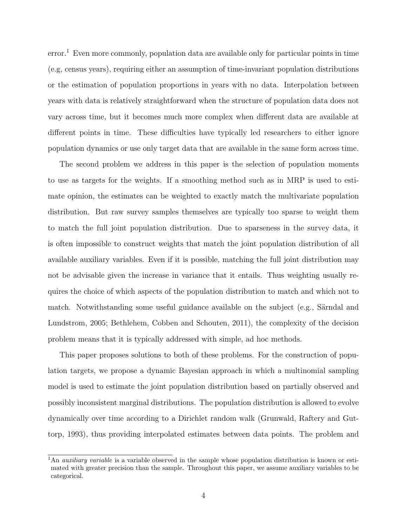$error<sup>1</sup>$  $error<sup>1</sup>$  $error<sup>1</sup>$  Even more commonly, population data are available only for particular points in time (e.g, census years), requiring either an assumption of time-invariant population distributions or the estimation of population proportions in years with no data. Interpolation between years with data is relatively straightforward when the structure of population data does not vary across time, but it becomes much more complex when different data are available at different points in time. These difficulties have typically led researchers to either ignore population dynamics or use only target data that are available in the same form across time.

The second problem we address in this paper is the selection of population moments to use as targets for the weights. If a smoothing method such as in MRP is used to estimate opinion, the estimates can be weighted to exactly match the multivariate population distribution. But raw survey samples themselves are typically too sparse to weight them to match the full joint population distribution. Due to sparseness in the survey data, it is often impossible to construct weights that match the joint population distribution of all available auxiliary variables. Even if it is possible, matching the full joint distribution may not be advisable given the increase in variance that it entails. Thus weighting usually requires the choice of which aspects of the population distribution to match and which not to match. Notwithstanding some useful guidance available on the subject (e.g., Särndal and [Lundstrom,](#page-26-2) [2005;](#page-26-2) [Bethlehem, Cobben and Schouten,](#page-24-1) [2011\)](#page-24-1), the complexity of the decision problem means that it is typically addressed with simple, ad hoc methods.

This paper proposes solutions to both of these problems. For the construction of population targets, we propose a dynamic Bayesian approach in which a multinomial sampling model is used to estimate the joint population distribution based on partially observed and possibly inconsistent marginal distributions. The population distribution is allowed to evolve dynamically over time according to a Dirichlet random walk [\(Grunwald, Raftery and Gut](#page-25-2)[torp,](#page-25-2) [1993\)](#page-25-2), thus providing interpolated estimates between data points. The problem and

<sup>&</sup>lt;sup>1</sup>An *auxiliary variable* is a variable observed in the sample whose population distribution is known or estimated with greater precision than the sample. Throughout this paper, we assume auxiliary variables to be categorical.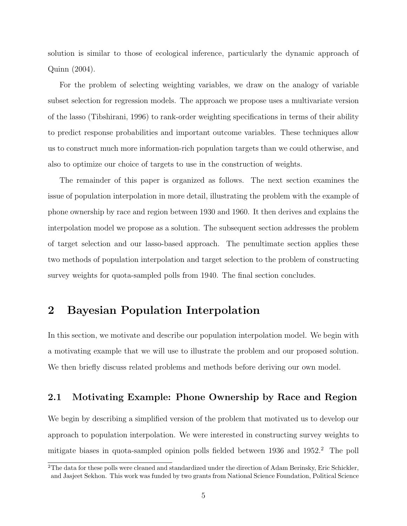solution is similar to those of ecological inference, particularly the dynamic approach of [Quinn](#page-26-3) [\(2004\)](#page-26-3).

For the problem of selecting weighting variables, we draw on the analogy of variable subset selection for regression models. The approach we propose uses a multivariate version of the lasso [\(Tibshirani,](#page-26-4) [1996\)](#page-26-4) to rank-order weighting specifications in terms of their ability to predict response probabilities and important outcome variables. These techniques allow us to construct much more information-rich population targets than we could otherwise, and also to optimize our choice of targets to use in the construction of weights.

The remainder of this paper is organized as follows. The next section examines the issue of population interpolation in more detail, illustrating the problem with the example of phone ownership by race and region between 1930 and 1960. It then derives and explains the interpolation model we propose as a solution. The subsequent section addresses the problem of target selection and our lasso-based approach. The penultimate section applies these two methods of population interpolation and target selection to the problem of constructing survey weights for quota-sampled polls from 1940. The final section concludes.

## <span id="page-4-0"></span>2 Bayesian Population Interpolation

In this section, we motivate and describe our population interpolation model. We begin with a motivating example that we will use to illustrate the problem and our proposed solution. We then briefly discuss related problems and methods before deriving our own model.

### <span id="page-4-1"></span>2.1 Motivating Example: Phone Ownership by Race and Region

We begin by describing a simplified version of the problem that motivated us to develop our approach to population interpolation. We were interested in constructing survey weights to mitigate biases in quota-sampled opinion polls fielded between 1936 and 195[2](#page-0-0).<sup>2</sup> The poll

<sup>&</sup>lt;sup>2</sup>The data for these polls were cleaned and standardized under the direction of Adam Berinsky, Eric Schickler, and Jasjeet Sekhon. This work was funded by two grants from National Science Foundation, Political Science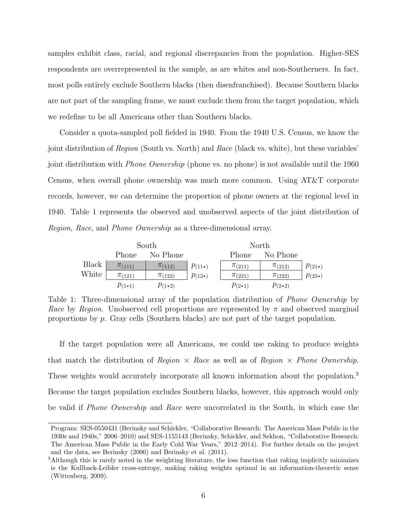samples exhibit class, racial, and regional discrepancies from the population. Higher-SES respondents are overrepresented in the sample, as are whites and non-Southerners. In fact, most polls entirely exclude Southern blacks (then disenfranchised). Because Southern blacks are not part of the sampling frame, we must exclude them from the target population, which we redefine to be all Americans other than Southern blacks.

Consider a quota-sampled poll fielded in 1940. From the 1940 U.S. Census, we know the joint distribution of Region (South vs. North) and Race (black vs. white), but these variables' joint distribution with Phone Ownership (phone vs. no phone) is not available until the 1960 Census, when overall phone ownership was much more common. Using AT&T corporate records, however, we can determine the proportion of phone owners at the regional level in 1940. Table [1](#page-5-0) represents the observed and unobserved aspects of the joint distribution of Region, Race, and Phone Ownership as a three-dimensional array.

<span id="page-5-0"></span>

|       |                    | South              |                   | North              |                    |                   |
|-------|--------------------|--------------------|-------------------|--------------------|--------------------|-------------------|
|       | Phone              | No Phone           |                   | <b>Phone</b>       | No Phone           |                   |
| Black | $\pi$ (111)        | $\pi$ (112)        | $p_{(11\bullet)}$ | $\pi$ (211)        | $\pi$ (212)        | $p_{(21\bullet)}$ |
| White | $\pi$ (121)        | $\pi$ (122)        | $p_{(12\bullet)}$ | $\pi_{(221)}$      | $\pi_{(222)}$      | $p_{(22\bullet)}$ |
|       | $p_{(1\bullet 1)}$ | $p_{(1\bullet 2)}$ |                   | $p_{(2\bullet 1)}$ | $p_{(2\bullet 2)}$ |                   |

Table 1: Three-dimensional array of the population distribution of *Phone Ownership* by *Race* by *Region*. Unobserved cell proportions are represented by  $\pi$  and observed marginal proportions by p. Gray cells (Southern blacks) are not part of the target population.

If the target population were all Americans, we could use raking to produce weights that match the distribution of Region  $\times$  Race as well as of Region  $\times$  Phone Ownership. These weights would accurately incorporate all known information about the population.<sup>[3](#page-0-0)</sup> Because the target population excludes Southern blacks, however, this approach would only be valid if Phone Ownership and Race were uncorrelated in the South, in which case the

Program: SES-0550431 (Berinsky and Schickler, "Collaborative Research: The American Mass Public in the 1930s and 1940s," 2006–2010) and SES-1155143 (Berinsky, Schickler, and Sekhon, "Collaborative Research: The American Mass Public in the Early Cold War Years," 2012–2014). For further details on the project and the data, see [Berinsky](#page-23-2) [\(2006\)](#page-23-2) and [Berinsky et al.](#page-23-3) [\(2011\)](#page-23-3).

<sup>3</sup>Although this is rarely noted in the weighting literature, the loss function that raking implicitly minimizes is the Kullback-Leibler cross-entropy, making raking weights optimal in an information-theoretic sense [\(Wittenberg,](#page-27-0) [2009\)](#page-27-0).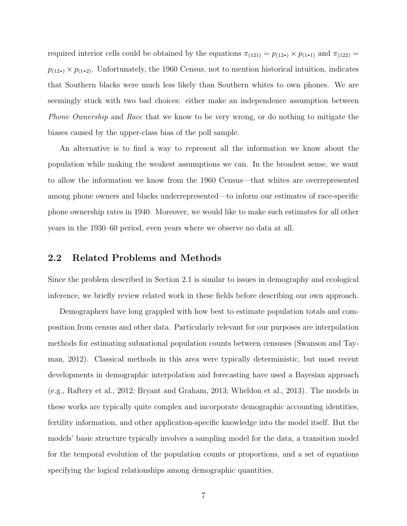required interior cells could be obtained by the equations  $\pi_{(121)} = p_{(12\bullet)} \times p_{(1\bullet1)}$  and  $\pi_{(122)} =$  $p_{(12\bullet)} \times p_{(1\bullet 2)}$ . Unfortunately, the 1960 Census, not to mention historical intuition, indicates that Southern blacks were much less likely than Southern whites to own phones. We are seemingly stuck with two bad choices: either make an independence assumption between Phone Ownership and Race that we know to be very wrong, or do nothing to mitigate the biases caused by the upper-class bias of the poll sample.

An alternative is to find a way to represent all the information we know about the population while making the weakest assumptions we can. In the broadest sense, we want to allow the information we know from the 1960 Census—that whites are overrepresented among phone owners and blacks underrepresented—to inform our estimates of race-specific phone ownership rates in 1940. Moreover, we would like to make such estimates for all other years in the 1930–60 period, even years where we observe no data at all.

#### <span id="page-6-0"></span>2.2 Related Problems and Methods

Since the problem described in Section [2.1](#page-4-1) is similar to issues in demography and ecological inference, we briefly review related work in these fields before describing our own approach.

Demographers have long grappled with how best to estimate population totals and composition from census and other data. Particularly relevant for our purposes are interpolation methods for estimating subnational population counts between censuses [\(Swanson and Tay](#page-26-5)[man,](#page-26-5) [2012\)](#page-26-5). Classical methods in this area were typically deterministic, but most recent developments in demographic interpolation and forecasting have used a Bayesian approach (e.g., [Raftery et al.,](#page-26-6) [2012;](#page-26-6) [Bryant and Graham,](#page-24-2) [2013;](#page-24-2) [Wheldon et al.,](#page-27-1) [2013\)](#page-27-1). The models in these works are typically quite complex and incorporate demographic accounting identities, fertility information, and other application-specific knowledge into the model itself. But the models' basic structure typically involves a sampling model for the data, a transition model for the temporal evolution of the population counts or proportions, and a set of equations specifying the logical relationships among demographic quantities.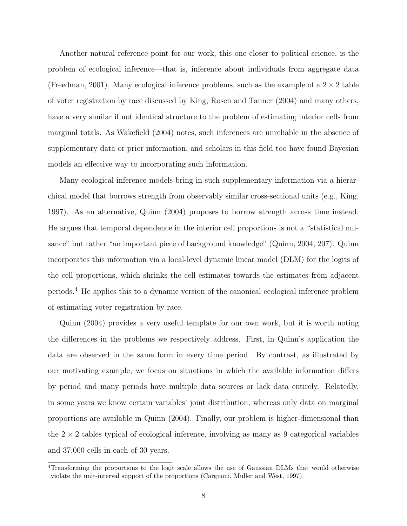Another natural reference point for our work, this one closer to political science, is the problem of ecological inference—that is, inference about individuals from aggregate data [\(Freedman,](#page-24-3) [2001\)](#page-24-3). Many ecological inference problems, such as the example of a  $2 \times 2$  table of voter registration by race discussed by [King, Rosen and Tanner](#page-25-3) [\(2004\)](#page-25-3) and many others, have a very similar if not identical structure to the problem of estimating interior cells from marginal totals. As [Wakefield](#page-27-2) [\(2004\)](#page-27-2) notes, such inferences are unreliable in the absence of supplementary data or prior information, and scholars in this field too have found Bayesian models an effective way to incorporating such information.

Many ecological inference models bring in such supplementary information via a hierarchical model that borrows strength from observably similar cross-sectional units (e.g., [King,](#page-25-4) [1997\)](#page-25-4). As an alternative, [Quinn](#page-26-3) [\(2004\)](#page-26-3) proposes to borrow strength across time instead. He argues that temporal dependence in the interior cell proportions is not a "statistical nuisance" but rather "an important piece of background knowledge" [\(Quinn,](#page-26-3) [2004,](#page-26-3) 207). Quinn incorporates this information via a local-level dynamic linear model (DLM) for the logits of the cell proportions, which shrinks the cell estimates towards the estimates from adjacent periods.[4](#page-0-0) He applies this to a dynamic version of the canonical ecological inference problem of estimating voter registration by race.

[Quinn](#page-26-3) [\(2004\)](#page-26-3) provides a very useful template for our own work, but it is worth noting the differences in the problems we respectively address. First, in Quinn's application the data are observed in the same form in every time period. By contrast, as illustrated by our motivating example, we focus on situations in which the available information differs by period and many periods have multiple data sources or lack data entirely. Relatedly, in some years we know certain variables' joint distribution, whereas only data on marginal proportions are available in [Quinn](#page-26-3) [\(2004\)](#page-26-3). Finally, our problem is higher-dimensional than the  $2 \times 2$  tables typical of ecological inference, involving as many as 9 categorical variables and 37,000 cells in each of 30 years.

<sup>4</sup>Transforming the proportions to the logit scale allows the use of Gaussian DLMs that would otherwise violate the unit-interval support of the proportions [\(Cargnoni, Muller and West,](#page-24-4) [1997\)](#page-24-4).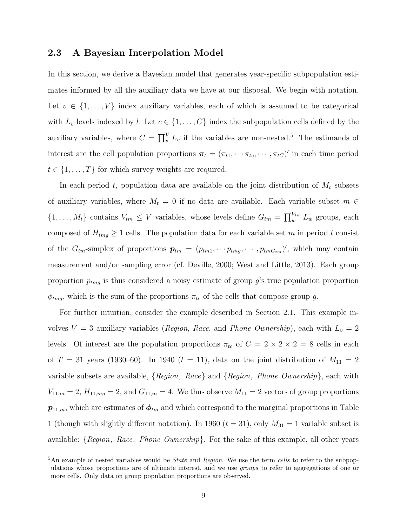#### <span id="page-8-0"></span>2.3 A Bayesian Interpolation Model

In this section, we derive a Bayesian model that generates year-specific subpopulation estimates informed by all the auxiliary data we have at our disposal. We begin with notation. Let  $v \in \{1, \ldots, V\}$  index auxiliary variables, each of which is assumed to be categorical with  $L_v$  levels indexed by l. Let  $c \in \{1, ..., C\}$  index the subpopulation cells defined by the auxiliary variables, where  $C = \prod_{v}^{V} L_v$  if the variables are non-nested.<sup>[5](#page-0-0)</sup> The estimands of interest are the cell population proportions  $\pi_t = (\pi_{t1}, \cdots, \pi_{tc}, \cdots, \pi_{tc})'$  in each time period  $t \in \{1, \ldots, T\}$  for which survey weights are required.

In each period t, population data are available on the joint distribution of  $M_t$  subsets of auxiliary variables, where  $M_t = 0$  if no data are available. Each variable subset  $m \in$  $\{1,\ldots,M_t\}$  contains  $V_{tm} \leq V$  variables, whose levels define  $G_{tm} = \prod_{w}^{V_{tm}} L_w$  groups, each composed of  $H_{tmg} \geq 1$  cells. The population data for each variable set m in period t consist of the  $G_{tm}$ -simplex of proportions  $p_{tm} = (p_{tm1}, \cdots p_{tmg}, \cdots, p_{tmG_{tm}})'$ , which may contain measurement and/or sampling error (cf. [Deville,](#page-24-5) [2000;](#page-24-5) [West and Little,](#page-27-3) [2013\)](#page-27-3). Each group proportion  $p_{tmg}$  is thus considered a noisy estimate of group g's true population proportion  $\phi_{tmq}$ , which is the sum of the proportions  $\pi_{tc}$  of the cells that compose group g.

For further intuition, consider the example described in Section [2.1.](#page-4-1) This example involves  $V = 3$  auxiliary variables (Region, Race, and Phone Ownership), each with  $L_v = 2$ levels. Of interest are the population proportions  $\pi_{tc}$  of  $C = 2 \times 2 \times 2 = 8$  cells in each of  $T = 31$  years (1930–60). In 1940 ( $t = 11$ ), data on the joint distribution of  $M_{11} = 2$ variable subsets are available,  ${Region, Race}$  and  ${Region, Phone Ownership}$ , each with  $V_{11,m} = 2$ ,  $H_{11,mg} = 2$ , and  $G_{11,m} = 4$ . We thus observe  $M_{11} = 2$  vectors of group proportions  $p_{11,m}$ , which are estimates of  $\phi_{tm}$  and which correspond to the marginal proportions in Table [1](#page-5-0) (though with slightly different notation). In 1960 ( $t = 31$ ), only  $M_{31} = 1$  variable subset is available:  ${Region, Race, Phone Ownership}.$  For the sake of this example, all other years

 $5$ An example of nested variables would be *State* and *Region*. We use the term cells to refer to the subpopulations whose proportions are of ultimate interest, and we use groups to refer to aggregations of one or more cells. Only data on group population proportions are observed.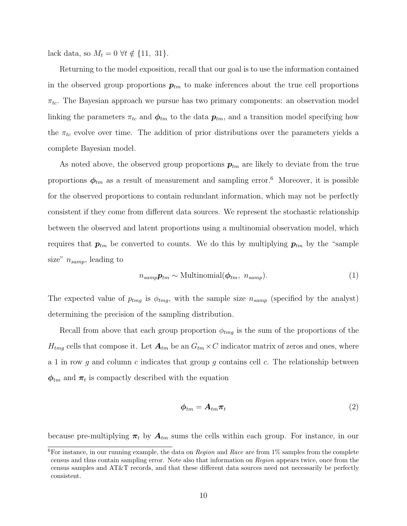lack data, so  $M_t = 0 \ \forall t \notin \{11, 31\}.$ 

Returning to the model exposition, recall that our goal is to use the information contained in the observed group proportions  $p_{tm}$  to make inferences about the true cell proportions  $\pi_{tc}$ . The Bayesian approach we pursue has two primary components: an observation model linking the parameters  $\pi_{tc}$  and  $\phi_{tm}$  to the data  $p_{tm}$ , and a transition model specifying how the  $\pi_{tc}$  evolve over time. The addition of prior distributions over the parameters yields a complete Bayesian model.

As noted above, the observed group proportions  $p_{tm}$  are likely to deviate from the true proportions  $\phi_{tm}$  as a result of measurement and sampling error.<sup>[6](#page-0-0)</sup> Moreover, it is possible for the observed proportions to contain redundant information, which may not be perfectly consistent if they come from different data sources. We represent the stochastic relationship between the observed and latent proportions using a multinomial observation model, which requires that  $p_{tm}$  be converted to counts. We do this by multiplying  $p_{tm}$  by the "sample size"  $n_{\text{sampling}}$ , leading to

<span id="page-9-1"></span>
$$
n_{\text{amp}}\mathbf{p}_{\text{tm}} \sim \text{Multinomial}(\boldsymbol{\phi}_{\text{tm}}, n_{\text{ samp}}). \tag{1}
$$

The expected value of  $p_{tmg}$  is  $\phi_{tmg}$ , with the sample size  $n_{samp}$  (specified by the analyst) determining the precision of the sampling distribution.

Recall from above that each group proportion  $\phi_{tmg}$  is the sum of the proportions of the  $H_{tmg}$  cells that compose it. Let  $\mathbf{A}_{tm}$  be an  $G_{tm} \times C$  indicator matrix of zeros and ones, where a 1 in row q and column c indicates that group q contains cell c. The relationship between  $\phi_{tm}$  and  $\pi_t$  is compactly described with the equation

<span id="page-9-0"></span>
$$
\phi_{tm} = A_{tm}\pi_t \tag{2}
$$

because pre-multiplying  $\pi_t$  by  $A_{tm}$  sums the cells within each group. For instance, in our

 ${}^{6}$ For instance, in our running example, the data on *Region* and *Race* are from 1% samples from the complete census and thus contain sampling error. Note also that information on Region appears twice, once from the census samples and AT&T records, and that these different data sources need not necessarily be perfectly consistent.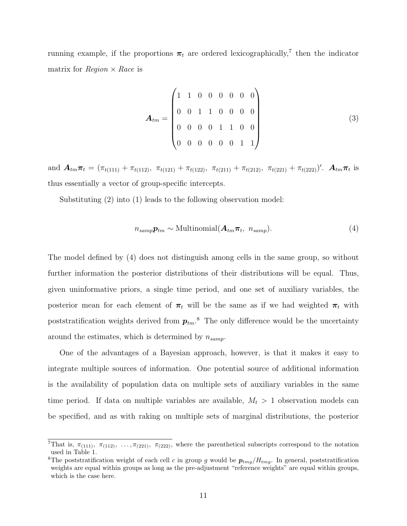running example, if the proportions  $\pi_t$  are ordered lexicographically,<sup>[7](#page-0-0)</sup> then the indicator matrix for  $Region \times Race$  is

$$
\boldsymbol{A}_{tm} = \begin{pmatrix} 1 & 1 & 0 & 0 & 0 & 0 & 0 & 0 \\ 0 & 0 & 1 & 1 & 0 & 0 & 0 & 0 \\ 0 & 0 & 0 & 0 & 1 & 1 & 0 & 0 \\ 0 & 0 & 0 & 0 & 0 & 1 & 1 \end{pmatrix}
$$
(3)

and  $\mathbf{A}_{tm}\boldsymbol{\pi}_t = (\pi_{t(111)} + \pi_{t(112)}, \ \pi_{t(121)} + \pi_{t(122)}, \ \pi_{t(211)} + \pi_{t(212)}, \ \pi_{t(221)} + \pi_{t(222)})'$ .  $\mathbf{A}_{tm}\boldsymbol{\pi}_t$  is thus essentially a vector of group-specific intercepts.

Substituting [\(2\)](#page-9-0) into [\(1\)](#page-9-1) leads to the following observation model:

<span id="page-10-0"></span>
$$
n_{\text{amp}}\mathbf{p}_{\text{tm}} \sim \text{Multinomial}(\mathbf{A}_{\text{tm}}\boldsymbol{\pi}_{t}, n_{\text{ samp}}). \tag{4}
$$

The model defined by [\(4\)](#page-10-0) does not distinguish among cells in the same group, so without further information the posterior distributions of their distributions will be equal. Thus, given uninformative priors, a single time period, and one set of auxiliary variables, the posterior mean for each element of  $\pi_t$  will be the same as if we had weighted  $\pi_t$  with poststratification weights derived from  $p_{tm}$ .<sup>[8](#page-0-0)</sup> The only difference would be the uncertainty around the estimates, which is determined by  $n_{\text{samp}}$ .

One of the advantages of a Bayesian approach, however, is that it makes it easy to integrate multiple sources of information. One potential source of additional information is the availability of population data on multiple sets of auxiliary variables in the same time period. If data on multiple variables are available,  $M_t > 1$  observation models can be specified, and as with raking on multiple sets of marginal distributions, the posterior

<sup>&</sup>lt;sup>7</sup>That is,  $\pi$ <sub>(111)</sub>,  $\pi$ <sub>(112)</sub>, ...,  $\pi$ <sub>(221)</sub>,  $\pi$ <sub>(222)</sub>, where the parenthetical subscripts correspond to the notation used in Table [1.](#page-5-0)

<sup>&</sup>lt;sup>8</sup>The poststratification weight of each cell c in group g would be  $p_{tmg}/H_{tmg}$ . In general, poststratification weights are equal within groups as long as the pre-adjustment "reference weights" are equal within groups, which is the case here.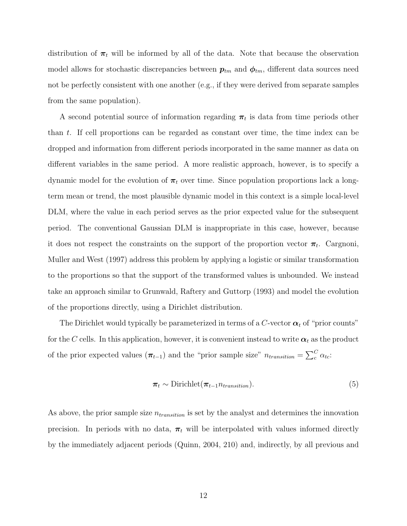distribution of  $\pi_t$  will be informed by all of the data. Note that because the observation model allows for stochastic discrepancies between  $p_{tm}$  and  $\phi_{tm}$ , different data sources need not be perfectly consistent with one another (e.g., if they were derived from separate samples from the same population).

A second potential source of information regarding  $\pi_t$  is data from time periods other than t. If cell proportions can be regarded as constant over time, the time index can be dropped and information from different periods incorporated in the same manner as data on different variables in the same period. A more realistic approach, however, is to specify a dynamic model for the evolution of  $\pi_t$  over time. Since population proportions lack a longterm mean or trend, the most plausible dynamic model in this context is a simple local-level DLM, where the value in each period serves as the prior expected value for the subsequent period. The conventional Gaussian DLM is inappropriate in this case, however, because it does not respect the constraints on the support of the proportion vector  $\pi_t$ . [Cargnoni,](#page-24-4) [Muller and West](#page-24-4) [\(1997\)](#page-24-4) address this problem by applying a logistic or similar transformation to the proportions so that the support of the transformed values is unbounded. We instead take an approach similar to [Grunwald, Raftery and Guttorp](#page-25-2) [\(1993\)](#page-25-2) and model the evolution of the proportions directly, using a Dirichlet distribution.

The Dirichlet would typically be parameterized in terms of a C-vector  $\alpha_t$  of "prior counts" for the C cells. In this application, however, it is convenient instead to write  $\alpha_t$  as the product of the prior expected values  $(\pi_{t-1})$  and the "prior sample size"  $n_{transition} = \sum_{c}^{C} \alpha_{tc}$ .

$$
\boldsymbol{\pi}_t \sim \text{Dirichlet}(\boldsymbol{\pi}_{t-1} n_{transition}). \tag{5}
$$

As above, the prior sample size  $n_{transition}$  is set by the analyst and determines the innovation precision. In periods with no data,  $\pi_t$  will be interpolated with values informed directly by the immediately adjacent periods [\(Quinn,](#page-26-3) [2004,](#page-26-3) 210) and, indirectly, by all previous and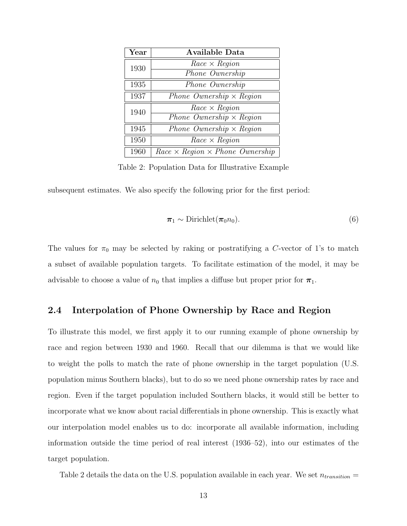<span id="page-12-1"></span>

| $\operatorname{Year}$ | Available Data                              |
|-----------------------|---------------------------------------------|
| 1930                  | $Race \times Region$                        |
|                       | Phone Ownership                             |
| 1935                  | Phone Ownership                             |
| 1937                  | Phone Ownership $\times$ Region             |
| 1940                  | $Race \times Region$                        |
|                       | Phone Ownership $\times$ Region             |
| 1945                  | Phone Ownership $\times$ Region             |
| 1950                  | $Race \times Region$                        |
| 1960                  | $Race \times Region \times Phone$ Ownership |

Table 2: Population Data for Illustrative Example

subsequent estimates. We also specify the following prior for the first period:

$$
\boldsymbol{\pi}_1 \sim \text{Dirichlet}(\boldsymbol{\pi}_0 n_0). \tag{6}
$$

The values for  $\pi_0$  may be selected by raking or postratifying a C-vector of 1's to match a subset of available population targets. To facilitate estimation of the model, it may be advisable to choose a value of  $n_0$  that implies a diffuse but proper prior for  $\pi_1$ .

#### <span id="page-12-0"></span>2.4 Interpolation of Phone Ownership by Race and Region

To illustrate this model, we first apply it to our running example of phone ownership by race and region between 1930 and 1960. Recall that our dilemma is that we would like to weight the polls to match the rate of phone ownership in the target population (U.S. population minus Southern blacks), but to do so we need phone ownership rates by race and region. Even if the target population included Southern blacks, it would still be better to incorporate what we know about racial differentials in phone ownership. This is exactly what our interpolation model enables us to do: incorporate all available information, including information outside the time period of real interest (1936–52), into our estimates of the target population.

Table [2](#page-12-1) details the data on the U.S. population available in each year. We set  $n_{transition} =$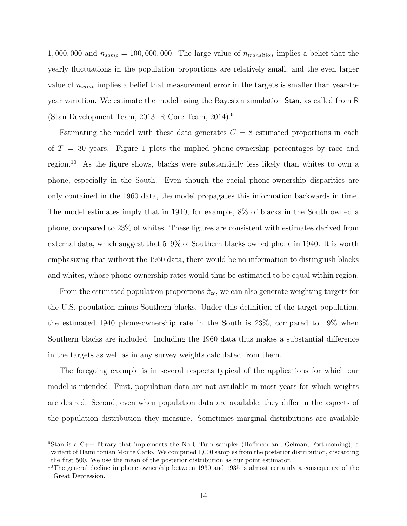1,000,000 and  $n_{\text{sample}} = 100,000,000$ . The large value of  $n_{\text{transition}}$  implies a belief that the yearly fluctuations in the population proportions are relatively small, and the even larger value of  $n_{\text{samp}}$  implies a belief that measurement error in the targets is smaller than year-toyear variation. We estimate the model using the Bayesian simulation Stan, as called from R [\(Stan Development Team,](#page-26-7) [2013;](#page-26-7) [R Core Team,](#page-26-8) [2014\)](#page-26-8).[9](#page-0-0)

Estimating the model with these data generates  $C = 8$  estimated proportions in each of  $T = 30$  years. Figure [1](#page-14-2) plots the implied phone-ownership percentages by race and region.[10](#page-0-0) As the figure shows, blacks were substantially less likely than whites to own a phone, especially in the South. Even though the racial phone-ownership disparities are only contained in the 1960 data, the model propagates this information backwards in time. The model estimates imply that in 1940, for example, 8% of blacks in the South owned a phone, compared to 23% of whites. These figures are consistent with estimates derived from external data, which suggest that 5–9% of Southern blacks owned phone in 1940. It is worth emphasizing that without the 1960 data, there would be no information to distinguish blacks and whites, whose phone-ownership rates would thus be estimated to be equal within region.

From the estimated population proportions  $\hat{\pi}_{tc}$ , we can also generate weighting targets for the U.S. population minus Southern blacks. Under this definition of the target population, the estimated 1940 phone-ownership rate in the South is 23%, compared to 19% when Southern blacks are included. Including the 1960 data thus makes a substantial difference in the targets as well as in any survey weights calculated from them.

The foregoing example is in several respects typical of the applications for which our model is intended. First, population data are not available in most years for which weights are desired. Second, even when population data are available, they differ in the aspects of the population distribution they measure. Sometimes marginal distributions are available

<sup>9</sup>Stan is a C++ library that implements the No-U-Turn sampler [\(Hoffman and Gelman,](#page-25-5) [Forthcoming\)](#page-25-5), a variant of Hamiltonian Monte Carlo. We computed 1,000 samples from the posterior distribution, discarding the first 500. We use the mean of the posterior distribution as our point estimator.

<sup>&</sup>lt;sup>10</sup>The general decline in phone ownership between 1930 and 1935 is almost certainly a consequence of the Great Depression.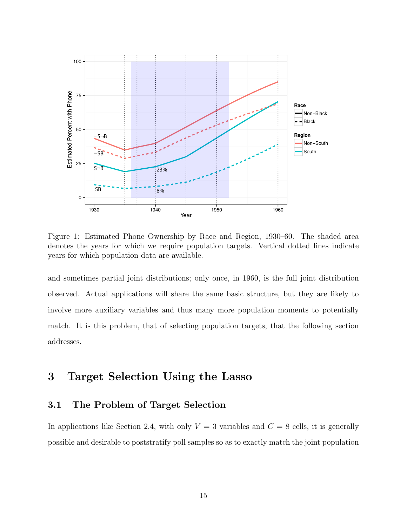

<span id="page-14-2"></span>Figure 1: Estimated Phone Ownership by Race and Region, 1930–60. The shaded area denotes the years for which we require population targets. Vertical dotted lines indicate years for which population data are available.

and sometimes partial joint distributions; only once, in 1960, is the full joint distribution observed. Actual applications will share the same basic structure, but they are likely to involve more auxiliary variables and thus many more population moments to potentially match. It is this problem, that of selecting population targets, that the following section addresses.

## <span id="page-14-0"></span>3 Target Selection Using the Lasso

### <span id="page-14-1"></span>3.1 The Problem of Target Selection

In applications like Section [2.4,](#page-12-0) with only  $V = 3$  variables and  $C = 8$  cells, it is generally possible and desirable to poststratify poll samples so as to exactly match the joint population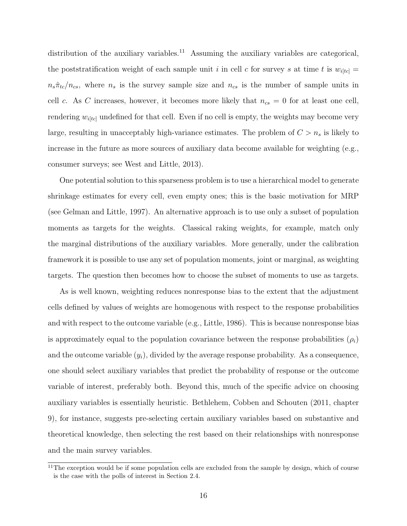distribution of the auxiliary variables.<sup>[11](#page-0-0)</sup> Assuming the auxiliary variables are categorical, the poststratification weight of each sample unit i in cell c for survey s at time t is  $w_{i[tc]} =$  $n_s\hat{\pi}_{tc}/n_{cs}$ , where  $n_s$  is the survey sample size and  $n_{cs}$  is the number of sample units in cell c. As C increases, however, it becomes more likely that  $n_{cs} = 0$  for at least one cell, rendering  $w_{i[tc]}$  undefined for that cell. Even if no cell is empty, the weights may become very large, resulting in unacceptably high-variance estimates. The problem of  $C > n_s$  is likely to increase in the future as more sources of auxiliary data become available for weighting (e.g., consumer surveys; see [West and Little,](#page-27-3) [2013\)](#page-27-3).

One potential solution to this sparseness problem is to use a hierarchical model to generate shrinkage estimates for every cell, even empty ones; this is the basic motivation for MRP (see [Gelman and Little,](#page-24-6) [1997\)](#page-24-6). An alternative approach is to use only a subset of population moments as targets for the weights. Classical raking weights, for example, match only the marginal distributions of the auxiliary variables. More generally, under the calibration framework it is possible to use any set of population moments, joint or marginal, as weighting targets. The question then becomes how to choose the subset of moments to use as targets.

As is well known, weighting reduces nonresponse bias to the extent that the adjustment cells defined by values of weights are homogenous with respect to the response probabilities and with respect to the outcome variable (e.g., [Little,](#page-25-6) [1986\)](#page-25-6). This is because nonresponse bias is approximately equal to the population covariance between the response probabilities  $(\rho_i)$ and the outcome variable  $(y_i)$ , divided by the average response probability. As a consequence, one should select auxiliary variables that predict the probability of response or the outcome variable of interest, preferably both. Beyond this, much of the specific advice on choosing auxiliary variables is essentially heuristic. [Bethlehem, Cobben and Schouten](#page-24-1) [\(2011,](#page-24-1) chapter 9), for instance, suggests pre-selecting certain auxiliary variables based on substantive and theoretical knowledge, then selecting the rest based on their relationships with nonresponse and the main survey variables.

 $11$ The exception would be if some population cells are excluded from the sample by design, which of course is the case with the polls of interest in Section [2.4.](#page-12-0)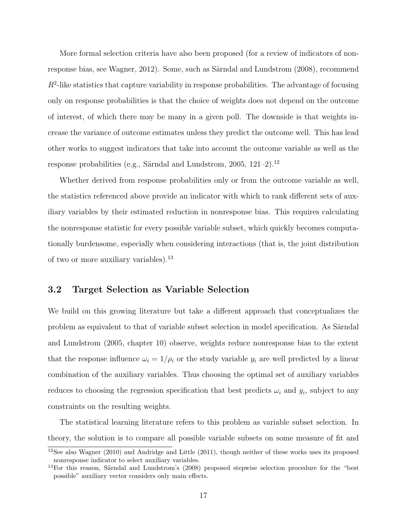More formal selection criteria have also been proposed (for a review of indicators of non-response bias, see [Wagner,](#page-27-4) [2012\)](#page-27-4). Some, such as Särndal and Lundstrom [\(2008\)](#page-26-9), recommend  $R<sup>2</sup>$ -like statistics that capture variability in response probabilities. The advantage of focusing only on response probabilities is that the choice of weights does not depend on the outcome of interest, of which there may be many in a given poll. The downside is that weights increase the variance of outcome estimates unless they predict the outcome well. This has lead other works to suggest indicators that take into account the outcome variable as well as the response probabilities (e.g., Särndal and Lundstrom, [2005,](#page-26-2) [12](#page-0-0)1–2).<sup>12</sup>

Whether derived from response probabilities only or from the outcome variable as well, the statistics referenced above provide an indicator with which to rank different sets of auxiliary variables by their estimated reduction in nonresponse bias. This requires calculating the nonresponse statistic for every possible variable subset, which quickly becomes computationally burdensome, especially when considering interactions (that is, the joint distribution of two or more auxiliary variables).[13](#page-0-0)

#### <span id="page-16-0"></span>3.2 Target Selection as Variable Selection

We build on this growing literature but take a different approach that conceptualizes the problem as equivalent to that of variable subset selection in model specification. As Särndal [and Lundstrom](#page-26-2) [\(2005,](#page-26-2) chapter 10) observe, weights reduce nonresponse bias to the extent that the response influence  $\omega_i = 1/\rho_i$  or the study variable  $y_i$  are well predicted by a linear combination of the auxiliary variables. Thus choosing the optimal set of auxiliary variables reduces to choosing the regression specification that best predicts  $\omega_i$  and  $y_i$ , subject to any constraints on the resulting weights.

The statistical learning literature refers to this problem as variable subset selection. In theory, the solution is to compare all possible variable subsets on some measure of fit and

<sup>12</sup>See also [Wagner](#page-27-5) [\(2010\)](#page-27-5) and [Andridge and Little](#page-23-4) [\(2011\)](#page-23-4), though neither of these works uses its proposed nonresponse indicator to select auxiliary variables.

 $13$ For this reason, Särndal and Lundstrom's [\(2008\)](#page-26-9) proposed stepwise selection procedure for the "best" possible" auxiliary vector considers only main effects.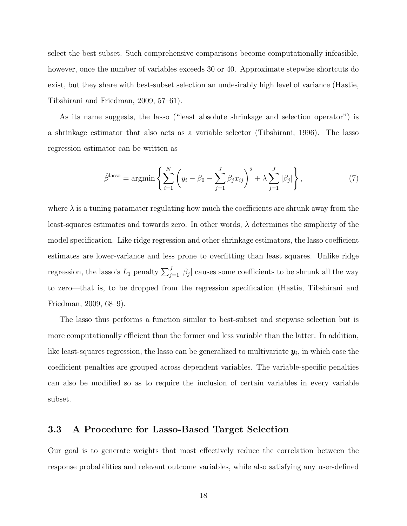select the best subset. Such comprehensive comparisons become computationally infeasible, however, once the number of variables exceeds 30 or 40. Approximate stepwise shortcuts do exist, but they share with best-subset selection an undesirably high level of variance [\(Hastie,](#page-25-7) [Tibshirani and Friedman,](#page-25-7) [2009,](#page-25-7) 57–61).

As its name suggests, the lasso ("least absolute shrinkage and selection operator") is a shrinkage estimator that also acts as a variable selector [\(Tibshirani,](#page-26-4) [1996\)](#page-26-4). The lasso regression estimator can be written as

$$
\hat{\beta}^{\text{lasso}} = \operatorname{argmin} \left\{ \sum_{i=1}^{N} \left( y_i - \beta_0 - \sum_{j=1}^{J} \beta_j x_{ij} \right)^2 + \lambda \sum_{j=1}^{J} |\beta_j| \right\},\tag{7}
$$

where  $\lambda$  is a tuning paramater regulating how much the coefficients are shrunk away from the least-squares estimates and towards zero. In other words,  $\lambda$  determines the simplicity of the model specification. Like ridge regression and other shrinkage estimators, the lasso coefficient estimates are lower-variance and less prone to overfitting than least squares. Unlike ridge regression, the lasso's  $L_1$  penalty  $\sum_{j=1}^{J} |\beta_j|$  causes some coefficients to be shrunk all the way to zero—that is, to be dropped from the regression specification [\(Hastie, Tibshirani and](#page-25-7) [Friedman,](#page-25-7) [2009,](#page-25-7) 68–9).

The lasso thus performs a function similar to best-subset and stepwise selection but is more computationally efficient than the former and less variable than the latter. In addition, like least-squares regression, the lasso can be generalized to multivariate  $\pmb{y}_i$ , in which case the coefficient penalties are grouped across dependent variables. The variable-specific penalties can also be modified so as to require the inclusion of certain variables in every variable subset.

#### <span id="page-17-0"></span>3.3 A Procedure for Lasso-Based Target Selection

Our goal is to generate weights that most effectively reduce the correlation between the response probabilities and relevant outcome variables, while also satisfying any user-defined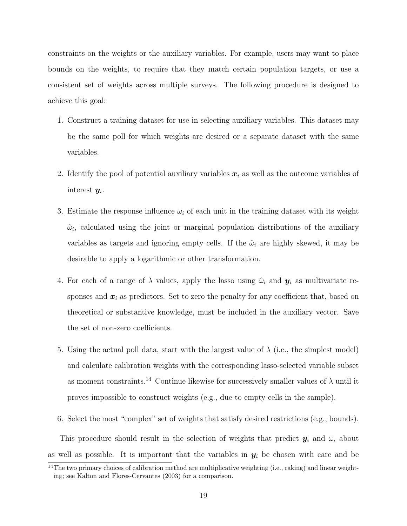constraints on the weights or the auxiliary variables. For example, users may want to place bounds on the weights, to require that they match certain population targets, or use a consistent set of weights across multiple surveys. The following procedure is designed to achieve this goal:

- 1. Construct a training dataset for use in selecting auxiliary variables. This dataset may be the same poll for which weights are desired or a separate dataset with the same variables.
- 2. Identify the pool of potential auxiliary variables  $x_i$  as well as the outcome variables of interest  $y_i$ .
- 3. Estimate the response influence  $\omega_i$  of each unit in the training dataset with its weight  $\hat{\omega}_i$ , calculated using the joint or marginal population distributions of the auxiliary variables as targets and ignoring empty cells. If the  $\hat{\omega}_i$  are highly skewed, it may be desirable to apply a logarithmic or other transformation.
- 4. For each of a range of  $\lambda$  values, apply the lasso using  $\hat{\omega}_i$  and  $\mathbf{y}_i$  as multivariate responses and  $x_i$  as predictors. Set to zero the penalty for any coefficient that, based on theoretical or substantive knowledge, must be included in the auxiliary vector. Save the set of non-zero coefficients.
- 5. Using the actual poll data, start with the largest value of  $\lambda$  (i.e., the simplest model) and calculate calibration weights with the corresponding lasso-selected variable subset as moment constraints.<sup>[14](#page-0-0)</sup> Continue likewise for successively smaller values of  $\lambda$  until it proves impossible to construct weights (e.g., due to empty cells in the sample).
- 6. Select the most "complex" set of weights that satisfy desired restrictions (e.g., bounds).

This procedure should result in the selection of weights that predict  $y_i$  and  $\omega_i$  about as well as possible. It is important that the variables in  $y_i$  be chosen with care and be

 $\frac{14}{14}$ The two primary choices of calibration method are multiplicative weighting (i.e., raking) and linear weighting; see [Kalton and Flores-Cervantes](#page-25-8) [\(2003\)](#page-25-8) for a comparison.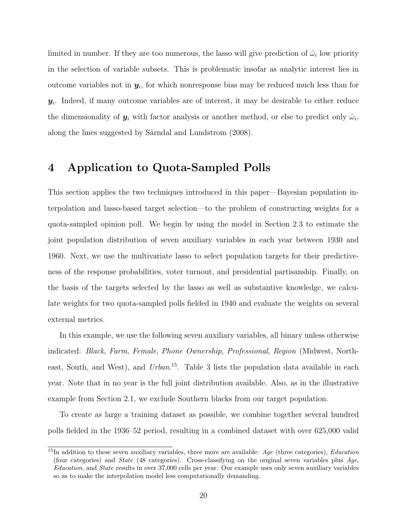limited in number. If they are too numerous, the lasso will give prediction of  $\hat{\omega}_i$  low priority in the selection of variable subsets. This is problematic insofar as analytic interest lies in outcome variables not in  $y_i$ , for which nonresponse bias may be reduced much less than for  $y_i$ . Indeed, if many outcome variables are of interest, it may be desirable to either reduce the dimensionality of  $y_i$  with factor analysis or another method, or else to predict only  $\hat{\omega}_i$ , along the lines suggested by Särndal and Lundstrom [\(2008\)](#page-26-9).

## <span id="page-19-0"></span>4 Application to Quota-Sampled Polls

This section applies the two techniques introduced in this paper—Bayesian population interpolation and lasso-based target selection—to the problem of constructing weights for a quota-sampled opinion poll. We begin by using the model in Section [2.3](#page-8-0) to estimate the joint population distribution of seven auxiliary variables in each year between 1930 and 1960. Next, we use the multivariate lasso to select population targets for their predictiveness of the response probabilities, voter turnout, and presidential partisanship. Finally, on the basis of the targets selected by the lasso as well as substantive knowledge, we calculate weights for two quota-sampled polls fielded in 1940 and evaluate the weights on several external metrics.

In this example, we use the following seven auxiliary variables, all binary unless otherwise indicated: Black, Farm, Female, Phone Ownership, Professional, Region (Midwest, North-east, South, and West), and Urban.<sup>[15](#page-0-0)</sup>. Table [3](#page-20-0) lists the population data available in each year. Note that in no year is the full joint distribution available. Also, as in the illustrative example from Section [2.1,](#page-4-1) we exclude Southern blacks from our target population.

To create as large a training dataset as possible, we combine together several hundred polls fielded in the 1936–52 period, resulting in a combined dataset with over 625,000 valid

 $15$ In addition to these seven auxiliary variables, three more are available: Age (three categories), *Education* (four categories) and State (48 categories). Cross-classifying on the original seven variables plus Age, Education, and State results in over 37,000 cells per year. Our example uses only seven auxiliary variables so as to make the interpolation model less computationally demanding.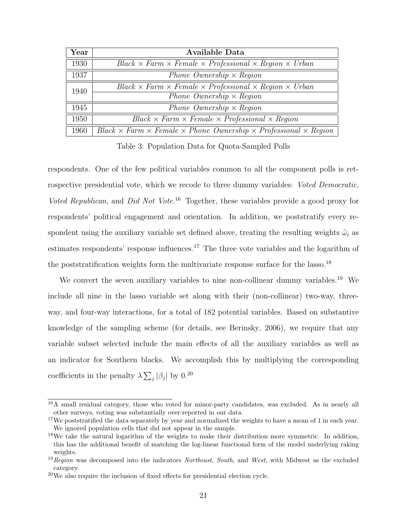| Year | Available Data                                                                                 |  |  |  |  |
|------|------------------------------------------------------------------------------------------------|--|--|--|--|
| 1930 | $Black \times Farm \times Female \times Professional \times Region \times Urban$               |  |  |  |  |
| 1937 | Phone Ownership $\times$ Region                                                                |  |  |  |  |
| 1940 | $Black \times Farm \times Female \times Professional \times Region \times Urban$               |  |  |  |  |
|      | Phone Ownership $\times$ Region                                                                |  |  |  |  |
| 1945 | Phone Ownership $\times$ Region                                                                |  |  |  |  |
| 1950 | $Black \times Farm \times Female \times Professional \times Region$                            |  |  |  |  |
| 1960 | $Black \times Farm \times Female \times Phone$ Ownership $\times$ Professional $\times$ Region |  |  |  |  |

<span id="page-20-0"></span>Table 3: Population Data for Quota-Sampled Polls

respondents. One of the few political variables common to all the component polls is retrospective presidential vote, which we recode to three dummy variables: *Voted Democratic*, Voted Republican, and Did Not Vote.<sup>[16](#page-0-0)</sup> Together, these variables provide a good proxy for respondents' political engagement and orientation. In addition, we poststratify every respondent using the auxiliary variable set defined above, treating the resulting weights  $\hat{\omega}_i$  as estimates respondents' response influences.<sup>[17](#page-0-0)</sup> The three vote variables and the logarithm of the poststratification weights form the multivariate response surface for the lasso.<sup>[18](#page-0-0)</sup>

We convert the seven auxiliary variables to nine non-collinear dummy variables.<sup>[19](#page-0-0)</sup> We include all nine in the lasso variable set along with their (non-collinear) two-way, threeway, and four-way interactions, for a total of 182 potential variables. Based on substantive knowledge of the sampling scheme (for details, see [Berinsky,](#page-23-2) [2006\)](#page-23-2), we require that any variable subset selected include the main effects of all the auxiliary variables as well as an indicator for Southern blacks. We accomplish this by multiplying the corresponding coefficients in the penalty  $\lambda \sum_j |\beta_j|$  by 0.<sup>[20](#page-0-0)</sup>

<sup>&</sup>lt;sup>16</sup>A small residual category, those who voted for minor-party candidates, was excluded. As in nearly all other surveys, voting was substantially over-reported in our data.

 $17$ We poststratified the data separately by year and normalized the weights to have a mean of 1 in each year. We ignored population cells that did not appear in the sample.

<sup>&</sup>lt;sup>18</sup>We take the natural logarithm of the weights to make their distribution more symmetric. In addition, this has the additional benefit of matching the log-linear functional form of the model underlying raking weights.

 $19$ Region was decomposed into the indicators Northeast, South, and West, with Midwest as the excluded category.

 $20$ We also require the inclusion of fixed effects for presidential election cycle.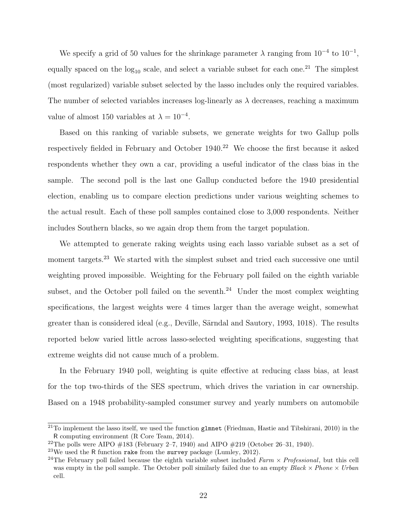We specify a grid of 50 values for the shrinkage parameter  $\lambda$  ranging from  $10^{-4}$  to  $10^{-1}$ , equally spaced on the  $log_{10}$  scale, and select a variable subset for each one.<sup>[21](#page-0-0)</sup> The simplest (most regularized) variable subset selected by the lasso includes only the required variables. The number of selected variables increases log-linearly as  $\lambda$  decreases, reaching a maximum value of almost 150 variables at  $\lambda = 10^{-4}$ .

Based on this ranking of variable subsets, we generate weights for two Gallup polls respectively fielded in February and October 1940.<sup>[22](#page-0-0)</sup> We choose the first because it asked respondents whether they own a car, providing a useful indicator of the class bias in the sample. The second poll is the last one Gallup conducted before the 1940 presidential election, enabling us to compare election predictions under various weighting schemes to the actual result. Each of these poll samples contained close to 3,000 respondents. Neither includes Southern blacks, so we again drop them from the target population.

We attempted to generate raking weights using each lasso variable subset as a set of moment targets.<sup>[23](#page-0-0)</sup> We started with the simplest subset and tried each successive one until weighting proved impossible. Weighting for the February poll failed on the eighth variable subset, and the October poll failed on the seventh.<sup>[24](#page-0-0)</sup> Under the most complex weighting specifications, the largest weights were 4 times larger than the average weight, somewhat greater than is considered ideal (e.g., Deville, Särndal and Sautory, [1993,](#page-24-7) 1018). The results reported below varied little across lasso-selected weighting specifications, suggesting that extreme weights did not cause much of a problem.

In the February 1940 poll, weighting is quite effective at reducing class bias, at least for the top two-thirds of the SES spectrum, which drives the variation in car ownership. Based on a 1948 probability-sampled consumer survey and yearly numbers on automobile

<sup>&</sup>lt;sup>21</sup>To implement the lasso itself, we used the function glmnet [\(Friedman, Hastie and Tibshirani,](#page-24-8) [2010\)](#page-24-8) in the R computing environment [\(R Core Team,](#page-26-8) [2014\)](#page-26-8).

<sup>&</sup>lt;sup>22</sup>The polls were AIPO  $\#183$  (February 2–7, 1940) and AIPO  $\#219$  (October 26–31, 1940).

<sup>&</sup>lt;sup>23</sup>We used the R function rake from the survey package [\(Lumley,](#page-25-9) [2012\)](#page-25-9).

<sup>&</sup>lt;sup>24</sup>The February poll failed because the eighth variable subset included  $Farm \times Professional$ , but this cell was empty in the poll sample. The October poll similarly failed due to an empty  $Black \times Phone \times Urban$ cell.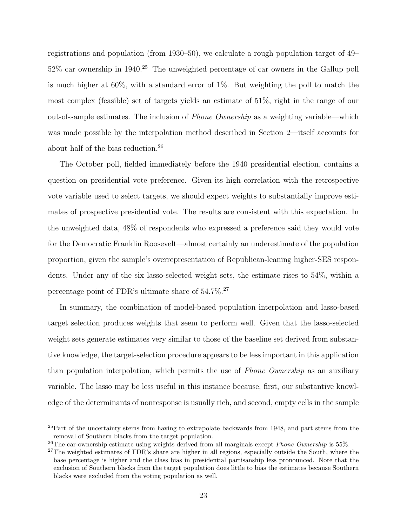registrations and population (from 1930–50), we calculate a rough population target of 49– 52% car ownership in 1940.[25](#page-0-0) The unweighted percentage of car owners in the Gallup poll is much higher at 60%, with a standard error of 1%. But weighting the poll to match the most complex (feasible) set of targets yields an estimate of 51%, right in the range of our out-of-sample estimates. The inclusion of Phone Ownership as a weighting variable—which was made possible by the interpolation method described in Section [2—](#page-4-0)itself accounts for about half of the bias reduction.[26](#page-0-0)

The October poll, fielded immediately before the 1940 presidential election, contains a question on presidential vote preference. Given its high correlation with the retrospective vote variable used to select targets, we should expect weights to substantially improve estimates of prospective presidential vote. The results are consistent with this expectation. In the unweighted data, 48% of respondents who expressed a preference said they would vote for the Democratic Franklin Roosevelt—almost certainly an underestimate of the population proportion, given the sample's overrepresentation of Republican-leaning higher-SES respondents. Under any of the six lasso-selected weight sets, the estimate rises to 54%, within a percentage point of FDR's ultimate share of 54.7%.[27](#page-0-0)

In summary, the combination of model-based population interpolation and lasso-based target selection produces weights that seem to perform well. Given that the lasso-selected weight sets generate estimates very similar to those of the baseline set derived from substantive knowledge, the target-selection procedure appears to be less important in this application than population interpolation, which permits the use of Phone Ownership as an auxiliary variable. The lasso may be less useful in this instance because, first, our substantive knowledge of the determinants of nonresponse is usually rich, and second, empty cells in the sample

 $^{25}$ Part of the uncertainty stems from having to extrapolate backwards from 1948, and part stems from the removal of Southern blacks from the target population.

 $^{26}$ The car-ownership estimate using weights derived from all marginals except *Phone Ownership* is 55%.

<sup>&</sup>lt;sup>27</sup>The weighted estimates of FDR's share are higher in all regions, especially outside the South, where the base percentage is higher and the class bias in presidential partisanship less pronounced. Note that the exclusion of Southern blacks from the target population does little to bias the estimates because Southern blacks were excluded from the voting population as well.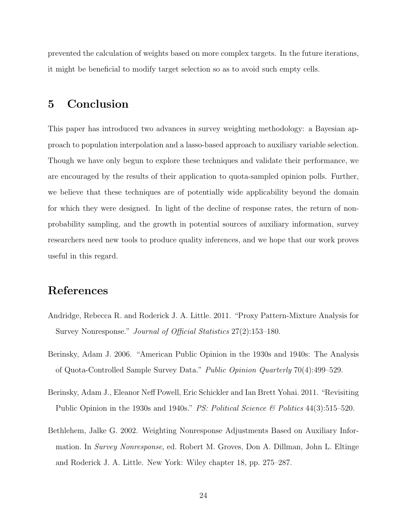prevented the calculation of weights based on more complex targets. In the future iterations, it might be beneficial to modify target selection so as to avoid such empty cells.

## <span id="page-23-0"></span>5 Conclusion

This paper has introduced two advances in survey weighting methodology: a Bayesian approach to population interpolation and a lasso-based approach to auxiliary variable selection. Though we have only begun to explore these techniques and validate their performance, we are encouraged by the results of their application to quota-sampled opinion polls. Further, we believe that these techniques are of potentially wide applicability beyond the domain for which they were designed. In light of the decline of response rates, the return of nonprobability sampling, and the growth in potential sources of auxiliary information, survey researchers need new tools to produce quality inferences, and we hope that our work proves useful in this regard.

## References

- <span id="page-23-4"></span>Andridge, Rebecca R. and Roderick J. A. Little. 2011. "Proxy Pattern-Mixture Analysis for Survey Nonresponse." Journal of Official Statistics 27(2):153–180.
- <span id="page-23-2"></span>Berinsky, Adam J. 2006. "American Public Opinion in the 1930s and 1940s: The Analysis of Quota-Controlled Sample Survey Data." Public Opinion Quarterly 70(4):499–529.
- <span id="page-23-3"></span>Berinsky, Adam J., Eleanor Neff Powell, Eric Schickler and Ian Brett Yohai. 2011. "Revisiting Public Opinion in the 1930s and 1940s." PS: Political Science & Politics 44(3):515–520.
- <span id="page-23-1"></span>Bethlehem, Jalke G. 2002. Weighting Nonresponse Adjustments Based on Auxiliary Information. In Survey Nonresponse, ed. Robert M. Groves, Don A. Dillman, John L. Eltinge and Roderick J. A. Little. New York: Wiley chapter 18, pp. 275–287.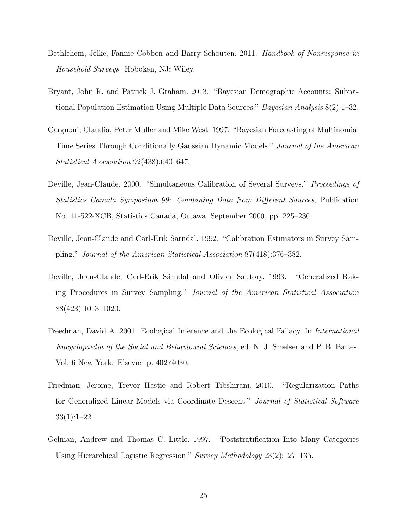- <span id="page-24-1"></span>Bethlehem, Jelke, Fannie Cobben and Barry Schouten. 2011. Handbook of Nonresponse in Household Surveys. Hoboken, NJ: Wiley.
- <span id="page-24-2"></span>Bryant, John R. and Patrick J. Graham. 2013. "Bayesian Demographic Accounts: Subnational Population Estimation Using Multiple Data Sources." Bayesian Analysis 8(2):1–32.
- <span id="page-24-4"></span>Cargnoni, Claudia, Peter Muller and Mike West. 1997. "Bayesian Forecasting of Multinomial Time Series Through Conditionally Gaussian Dynamic Models." Journal of the American Statistical Association 92(438):640–647.
- <span id="page-24-5"></span>Deville, Jean-Claude. 2000. "Simultaneous Calibration of Several Surveys." Proceedings of Statistics Canada Symposium 99: Combining Data from Different Sources, Publication No. 11-522-XCB, Statistics Canada, Ottawa, September 2000, pp. 225–230.
- <span id="page-24-0"></span>Deville, Jean-Claude and Carl-Erik Särndal. 1992. "Calibration Estimators in Survey Sampling." Journal of the American Statistical Association 87(418):376–382.
- <span id="page-24-7"></span>Deville, Jean-Claude, Carl-Erik Särndal and Olivier Sautory. 1993. "Generalized Raking Procedures in Survey Sampling." Journal of the American Statistical Association 88(423):1013–1020.
- <span id="page-24-3"></span>Freedman, David A. 2001. Ecological Inference and the Ecological Fallacy. In International Encyclopaedia of the Social and Behavioural Sciences, ed. N. J. Smelser and P. B. Baltes. Vol. 6 New York: Elsevier p. 40274030.
- <span id="page-24-8"></span>Friedman, Jerome, Trevor Hastie and Robert Tibshirani. 2010. "Regularization Paths for Generalized Linear Models via Coordinate Descent." Journal of Statistical Software  $33(1):1-22.$
- <span id="page-24-6"></span>Gelman, Andrew and Thomas C. Little. 1997. "Poststratification Into Many Categories Using Hierarchical Logistic Regression." Survey Methodology 23(2):127–135.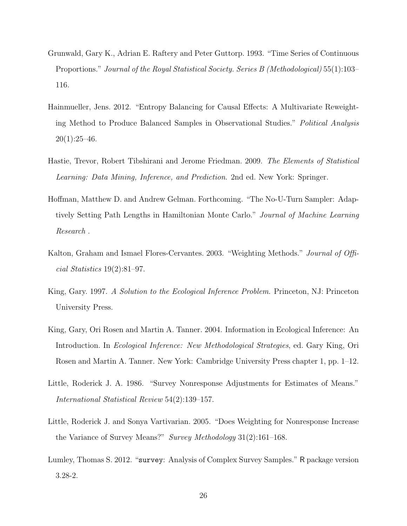- <span id="page-25-2"></span>Grunwald, Gary K., Adrian E. Raftery and Peter Guttorp. 1993. "Time Series of Continuous Proportions." Journal of the Royal Statistical Society. Series B (Methodological) 55(1):103– 116.
- <span id="page-25-1"></span>Hainmueller, Jens. 2012. "Entropy Balancing for Causal Effects: A Multivariate Reweighting Method to Produce Balanced Samples in Observational Studies." Political Analysis  $20(1):25-46.$
- <span id="page-25-7"></span>Hastie, Trevor, Robert Tibshirani and Jerome Friedman. 2009. The Elements of Statistical Learning: Data Mining, Inference, and Prediction. 2nd ed. New York: Springer.
- <span id="page-25-5"></span>Hoffman, Matthew D. and Andrew Gelman. Forthcoming. "The No-U-Turn Sampler: Adaptively Setting Path Lengths in Hamiltonian Monte Carlo." Journal of Machine Learning Research .
- <span id="page-25-8"></span>Kalton, Graham and Ismael Flores-Cervantes. 2003. "Weighting Methods." Journal of Official Statistics 19(2):81–97.
- <span id="page-25-4"></span>King, Gary. 1997. A Solution to the Ecological Inference Problem. Princeton, NJ: Princeton University Press.
- <span id="page-25-3"></span>King, Gary, Ori Rosen and Martin A. Tanner. 2004. Information in Ecological Inference: An Introduction. In Ecological Inference: New Methodological Strategies, ed. Gary King, Ori Rosen and Martin A. Tanner. New York: Cambridge University Press chapter 1, pp. 1–12.
- <span id="page-25-6"></span>Little, Roderick J. A. 1986. "Survey Nonresponse Adjustments for Estimates of Means." International Statistical Review 54(2):139–157.
- <span id="page-25-0"></span>Little, Roderick J. and Sonya Vartivarian. 2005. "Does Weighting for Nonresponse Increase the Variance of Survey Means?" Survey Methodology 31(2):161–168.
- <span id="page-25-9"></span>Lumley, Thomas S. 2012. "survey: Analysis of Complex Survey Samples." R package version 3.28-2.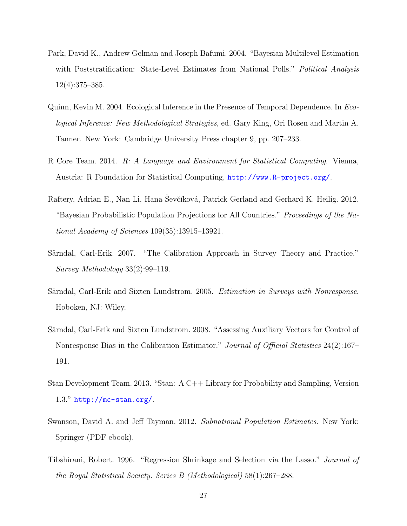- <span id="page-26-0"></span>Park, David K., Andrew Gelman and Joseph Bafumi. 2004. "Bayesian Multilevel Estimation with Poststratification: State-Level Estimates from National Polls." Political Analysis 12(4):375–385.
- <span id="page-26-3"></span>Quinn, Kevin M. 2004. Ecological Inference in the Presence of Temporal Dependence. In Ecological Inference: New Methodological Strategies, ed. Gary King, Ori Rosen and Martin A. Tanner. New York: Cambridge University Press chapter 9, pp. 207–233.
- <span id="page-26-8"></span>R Core Team. 2014. R: A Language and Environment for Statistical Computing. Vienna, Austria: R Foundation for Statistical Computing, <http://www.R-project.org/>.
- <span id="page-26-6"></span>Raftery, Adrian E., Nan Li, Hana Ševčíková, Patrick Gerland and Gerhard K. Heilig. 2012. "Bayesian Probabilistic Population Projections for All Countries." Proceedings of the National Academy of Sciences 109(35):13915–13921.
- <span id="page-26-1"></span>Särndal, Carl-Erik. 2007. "The Calibration Approach in Survey Theory and Practice." Survey Methodology 33(2):99–119.
- <span id="page-26-2"></span>Särndal, Carl-Erik and Sixten Lundstrom. 2005. Estimation in Surveys with Nonresponse. Hoboken, NJ: Wiley.
- <span id="page-26-9"></span>Särndal, Carl-Erik and Sixten Lundstrom. 2008. "Assessing Auxiliary Vectors for Control of Nonresponse Bias in the Calibration Estimator." Journal of Official Statistics 24(2):167– 191.
- <span id="page-26-7"></span>Stan Development Team. 2013. "Stan: A C++ Library for Probability and Sampling, Version 1.3." <http://mc-stan.org/>.
- <span id="page-26-5"></span>Swanson, David A. and Jeff Tayman. 2012. Subnational Population Estimates. New York: Springer (PDF ebook).
- <span id="page-26-4"></span>Tibshirani, Robert. 1996. "Regression Shrinkage and Selection via the Lasso." Journal of the Royal Statistical Society. Series B (Methodological) 58(1):267–288.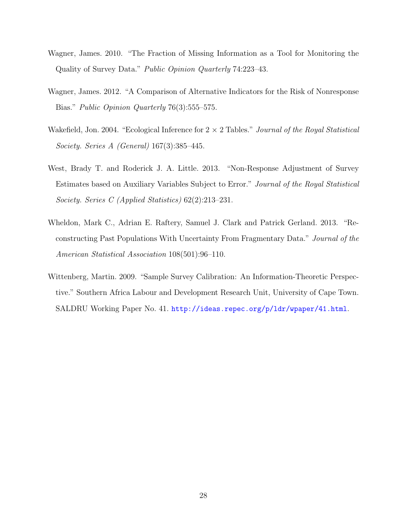- <span id="page-27-5"></span>Wagner, James. 2010. "The Fraction of Missing Information as a Tool for Monitoring the Quality of Survey Data." Public Opinion Quarterly 74:223–43.
- <span id="page-27-4"></span>Wagner, James. 2012. "A Comparison of Alternative Indicators for the Risk of Nonresponse Bias." *Public Opinion Quarterly* 76(3):555–575.
- <span id="page-27-2"></span>Wakefield, Jon. 2004. "Ecological Inference for  $2 \times 2$  Tables." *Journal of the Royal Statistical* Society. Series A (General) 167(3):385–445.
- <span id="page-27-3"></span>West, Brady T. and Roderick J. A. Little. 2013. "Non-Response Adjustment of Survey Estimates based on Auxiliary Variables Subject to Error." Journal of the Royal Statistical Society. Series C (Applied Statistics) 62(2):213–231.
- <span id="page-27-1"></span>Wheldon, Mark C., Adrian E. Raftery, Samuel J. Clark and Patrick Gerland. 2013. "Reconstructing Past Populations With Uncertainty From Fragmentary Data." Journal of the American Statistical Association 108(501):96–110.
- <span id="page-27-0"></span>Wittenberg, Martin. 2009. "Sample Survey Calibration: An Information-Theoretic Perspective." Southern Africa Labour and Development Research Unit, University of Cape Town. SALDRU Working Paper No. 41. <http://ideas.repec.org/p/ldr/wpaper/41.html>.